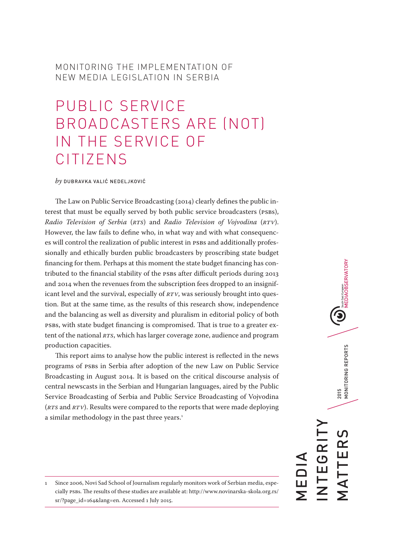## MONITORING THE IMPLEMENTATION OF NEW MEDIA LEGISLATION IN SERBIA

# PUBLIC SERVICE BROADCASTERS ARE (NOT) IN THE SERVICE OF CITIZENS

*by* DUBRAVKA VALIĆ NEDELJKOVIĆ

The Law on Public Service Broadcasting (2014) clearly defines the public interest that must be equally served by both public service broadcasters (PSBs), *Radio Television of Serbia* (*RTS*) and *Radio Television of Vojvodina* (*RTV*). However, the law fails to define who, in what way and with what consequences will control the realization of public interest in PSBs and additionally professionally and ethically burden public broadcasters by proscribing state budget financing for them. Perhaps at this moment the state budget financing has contributed to the financial stability of the PSBs after difficult periods during 2013 and 2014 when the revenues from the subscription fees dropped to an insignificant level and the survival, especially of *RTV*, was seriously brought into question. But at the same time, as the results of this research show, independence and the balancing as well as diversity and pluralism in editorial policy of both PSBs, with state budget financing is compromised. That is true to a greater extent of the national *RTS*, which has larger coverage zone, audience and program production capacities.

This report aims to analyse how the public interest is reflected in the news programs of PSBs in Serbia after adoption of the new Law on Public Service Broadcasting in August 2014. It is based on the critical discourse analysis of central newscasts in the Serbian and Hungarian languages, aired by the Public Service Broadcasting of Serbia and Public Service Broadcasting of Vojvodina (*RTS* and *RTV*). Results were compared to the reports that were made deploying a similar methodology in the past three years.<sup>1</sup>

South East European<br>MEDIAOBSERVATORY 2015<br>MONITORING REPORTS MATTERS 2015 MONITORING REPORTS INTEGRITY **EGRI** TTER MEDIA —<br>Г<br>Г

<sup>1</sup> Since 2006, Novi Sad School of Journalism regularly monitors work of Serbian media, especially PSBs. The results of these studies are available at: http://www.novinarska-skola.org.rs/ sr/?page\_id=164&lang=en. Accessed 1 July 2015.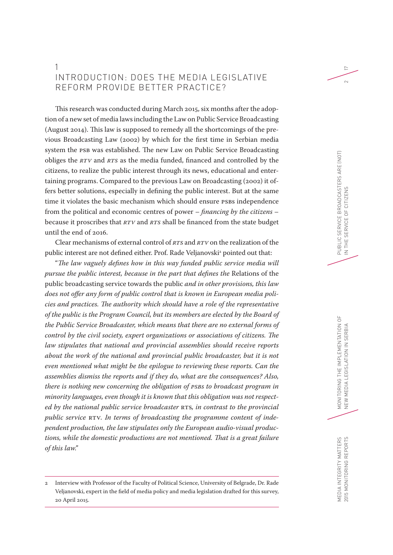## 1 INTRODUCTION: DOES THE MEDIA LEGISLATIVE REFORM PROVIDE BETTER PRACTICE?

This research was conducted during March 2015, six months after the adoption of a new set of media laws including the Law on Public Service Broadcasting (August 2014). This law is supposed to remedy all the shortcomings of the previous Broadcasting Law (2002) by which for the first time in Serbian media system the PSB was established. The new Law on Public Service Broadcasting obliges the *RTV* and *RTS* as the media funded, financed and controlled by the citizens, to realize the public interest through its news, educational and entertaining programs. Compared to the previous Law on Broadcasting (2002) it offers better solutions, especially in defining the public interest. But at the same time it violates the basic mechanism which should ensure PSBs independence from the political and economic centres of power – *financing by the citizens* – because it proscribes that *RTV* and *RTS* shall be financed from the state budget until the end of 2016.

Clear mechanisms of external control of *RTS* and *RTV* on the realization of the public interest are not defined either. Prof. Rade Veljanovski<sup>2</sup> pointed out that:

"*The law vaguely defines how in this way funded public service media will pursue the public interest, because in the part that defines the* Relations of the public broadcasting service towards the public *and in other provisions, this law does not offer any form of public control that is known in European media policies and practices. The authority which should have a role of the representative of the public is the Program Council, but its members are elected by the Board of the Public Service Broadcaster, which means that there are no external forms of control by the civil society, expert organizations or associations of citizens. The law stipulates that national and provincial assemblies should receive reports about the work of the national and provincial public broadcaster, but it is not even mentioned what might be the epilogue to reviewing these reports. Can the assemblies dismiss the reports and if they do, what are the consequences? Also, there is nothing new concerning the obligation of PSBs to broadcast program in minority languages, even though it is known that this obligation was not respected by the national public service broadcaster* RTS*, in contrast to the provincial public service* RTV*. In terms of broadcasting the programme content of independent production, the law stipulates only the European audio-visual productions, while the domestic productions are not mentioned. That is a great failure of this law."*

17

 $\sim$ 

<sup>2</sup> Interview with Professor of the Faculty of Political Science, University of Belgrade, Dr. Rade Veljanovski, expert in the field of media policy and media legislation drafted for this survey, 20 April 2015.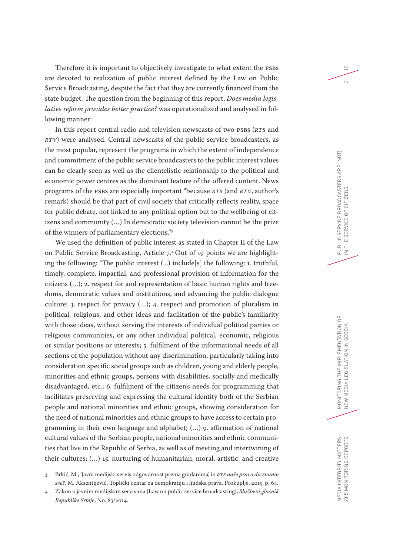Therefore it is important to objectively investigate to what extent the PSBs are devoted to realization of public interest defined by the Law on Public Service Broadcasting, despite the fact that they are currently financed from the state budget. The question from the beginning of this report, *Does media legislative reform provides better practice?* was operationalized and analysed in following manner:

In this report central radio and television newscasts of two PSBs (*RTS* and *RTV*) were analysed. Central newscasts of the public service broadcasters, as the most popular, represent the programs in which the extent of independence and commitment of the public service broadcasters to the public interest values can be clearly seen as well as the clientelistic relationship to the political and economic power centres as the dominant feature of the offered content. News programs of the PSBs are especially important "because *RTS* (and *RTV*, author's remark) should be that part of civil society that critically reflects reality, space for public debate, not linked to any political option but to the wellbeing of citizens and community (…) In democratic society television cannot be the prize of the winners of parliamentary elections."3

We used the definition of public interest as stated in Chapter II of the Law on Public Service Broadcasting, Article 7.4 Out of 19 points we are highlighting the following: "The public interest (...) include[s] the following: 1. truthful, timely, complete, impartial, and professional provision of information for the citizens (…); 2. respect for and representation of basic human rights and freedoms, democratic values and institutions, and advancing the public dialogue culture; 3. respect for privacy (…); 4. respect and promotion of pluralism in political, religious, and other ideas and facilitation of the public's familiarity with those ideas, without serving the interests of individual political parties or religious communities, or any other individual political, economic, religious or similar positions or interests; 5. fulfilment of the informational needs of all sections of the population without any discrimination, particularly taking into consideration specific social groups such as children, young and elderly people, minorities and ethnic groups, persons with disabilities, socially and medically disadvantaged, etc.; 6. fulfilment of the citizen's needs for programming that facilitates preserving and expressing the cultural identity both of the Serbian people and national minorities and ethnic groups, showing consideration for the need of national minorities and ethnic groups to have access to certain programming in their own language and alphabet; (…) 9. affirmation of national cultural values of the Serbian people, national minorities and ethnic communities that live in the Republic of Serbia, as well as of meeting and intertwining of their cultures; (…) 15. nurturing of humanitarian, moral, artistic, and creative 17

 $\infty$ 

<sup>3</sup> Brkić, M., 'Javni medijski servis odgovornost prema građanima', in *RTS naše pravo da znamo sve?*, M. Aksentijević, Toplički centar za demokratiju i ljudska prava, Prokuplje, 2015, p. 64.

<sup>4</sup> Zakon o javnim medijskim servisima [Law on public service broadcasting], *Službeni glasnik Republike Srbije*, No. 83/2014.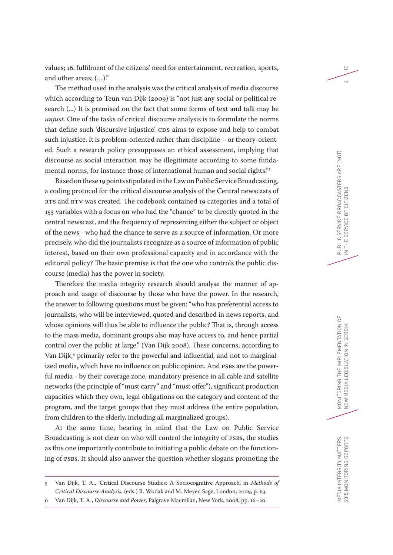values; 16. fulfilment of the citizens' need for entertainment, recreation, sports, and other areas; (…)."

The method used in the analysis was the critical analysis of media discourse which according to Teun van Dijk (2009) is "not just any social or political research (...) It is premised on the fact that some forms of text and talk may be *unjust*. One of the tasks of critical discourse analysis is to formulate the norms that define such 'discursive injustice'. CDS aims to expose and help to combat such injustice. It is problem-oriented rather than discipline – or theory-oriented. Such a research policy presupposes an ethical assessment, implying that discourse as social interaction may be illegitimate according to some fundamental norms, for instance those of international human and social rights."5

Based on these 19 points stipulated in the Law on Public Service Broadcasting, a coding protocol for the critical discourse analysis of the Central newscasts of RTS and RTV was created. The codebook contained 19 categories and a total of 153 variables with a focus on who had the "chance" to be directly quoted in the central newscast, and the frequency of representing either the subject or object of the news - who had the chance to serve as a source of information. Or more precisely, who did the journalists recognize as a source of information of public interest, based on their own professional capacity and in accordance with the editorial policy? The basic premise is that the one who controls the public discourse (media) has the power in society.

Therefore the media integrity research should analyse the manner of approach and usage of discourse by those who have the power. In the research, the answer to following questions must be given: "who has preferential access to journalists, who will be interviewed, quoted and described in news reports, and whose opinions will thus be able to influence the public? That is, through access to the mass media, dominant groups also may have access to, and hence partial control over the public at large." (Van Dijk 2008). These concerns, according to Van Dijk, $^6$  primarily refer to the powerful and influential, and not to marginalized media, which have no influence on public opinion. And PSBs are the powerful media - by their coverage zone, mandatory presence in all cable and satellite networks (the principle of "must carry" and "must offer"), significant production capacities which they own, legal obligations on the category and content of the program, and the target groups that they must address (the entire population, from children to the elderly, including all marginalized groups).

At the same time, bearing in mind that the Law on Public Service Broadcasting is not clear on who will control the integrity of PSBs, the studies as this one importantly contribute to initiating a public debate on the functioning of PSBs. It should also answer the question whether slogans promoting the 17

<sup>5</sup> Van Dijk, T. A., 'Critical Discourse Studies: A Sociocognitive Approach', in *Methods of Critical Discourse Analysis*, (eds.) R. Wodak and M. Meyer, Sage, London, 2009, p. 63.

<sup>6</sup> Van Dijk, T. A., *Discourse and Power*, Palgrave Macmilan, New York, 2008, pp. 16–20.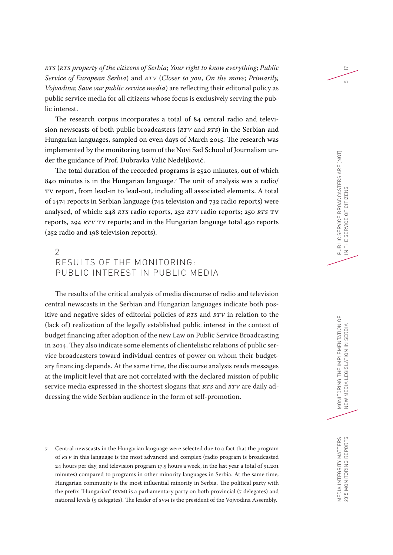*RTS* (*RTS property of the citizens of Serbia*; *Your right to know everything*; *Public Service of European Serbia*) and *RTV* (*Closer to you*, *On the move*; *Primarily, Vojvodina*; *Save our public service media*) are reflecting their editorial policy as public service media for all citizens whose focus is exclusively serving the public interest.

The research corpus incorporates a total of 84 central radio and television newscasts of both public broadcasters (*RTV* and *RTS*) in the Serbian and Hungarian languages, sampled on even days of March 2015. The research was implemented by the monitoring team of the Novi Sad School of Journalism under the guidance of Prof. Dubravka Valić Nedeljković.

The total duration of the recorded programs is 2520 minutes, out of which 840 minutes is in the Hungarian language.7 The unit of analysis was a radio/ TV report, from lead-in to lead-out, including all associated elements. A total of 1474 reports in Serbian language (742 television and 732 radio reports) were analysed, of which: 248 *RTS* radio reports, 232 *RTV* radio reports; 250 *RTS* TV reports, 294 *RTV* TV reports; and in the Hungarian language total 450 reports (252 radio and 198 television reports).

## $\mathcal{P}$ RESULTS OF THE MONITORING: PUBLIC INTEREST IN PUBLIC MEDIA

The results of the critical analysis of media discourse of radio and television central newscasts in the Serbian and Hungarian languages indicate both positive and negative sides of editorial policies of *RTS* and *RTV* in relation to the (lack of) realization of the legally established public interest in the context of budget financing after adoption of the new Law on Public Service Broadcasting in 2014. They also indicate some elements of clientelistic relations of public service broadcasters toward individual centres of power on whom their budgetary financing depends. At the same time, the discourse analysis reads messages at the implicit level that are not correlated with the declared mission of public service media expressed in the shortest slogans that *RTS* and *RTV* are daily addressing the wide Serbian audience in the form of self-promotion.

17

 $\overline{5}$ 

<sup>7</sup> Central newscasts in the Hungarian language were selected due to a fact that the program of *RTV* in this language is the most advanced and complex (radio program is broadcasted 24 hours per day, and television program 17.5 hours a week, in the last year a total of 91,201 minutes) compared to programs in other minority languages in Serbia. At the same time, Hungarian community is the most influential minority in Serbia. The political party with the prefix "Hungarian" (SVM) is a parliamentary party on both provincial (7 delegates) and national levels (5 delegates). The leader of SVM is the president of the Vojvodina Assembly.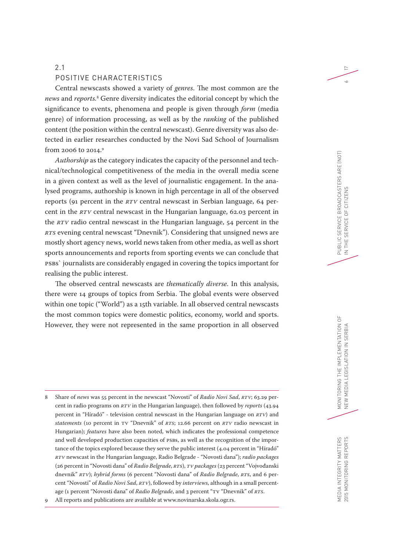#### 2.1

#### POSITIVE CHARACTERISTICS

Central newscasts showed a variety of *genres*. The most common are the *news* and *reports.*<sup>8</sup> Genre diversity indicates the editorial concept by which the significance to events, phenomena and people is given through *form* (media genre) of information processing, as well as by the *ranking* of the published content (the position within the central newscast). Genre diversity was also detected in earlier researches conducted by the Novi Sad School of Journalism from 2006 to 2014.9

*Authorship* as the category indicates the capacity of the personnel and technical/technological competitiveness of the media in the overall media scene in a given context as well as the level of journalistic engagement. In the analysed programs, authorship is known in high percentage in all of the observed reports (91 percent in the *RTV* central newscast in Serbian language, 64 percent in the *RTV* central newscast in the Hungarian language, 62.03 percent in the *RTV* radio central newscast in the Hungarian language, 54 percent in the *RTS* evening central newscast "Dnevnik"). Considering that unsigned news are mostly short agency news, world news taken from other media, as well as short sports announcements and reports from sporting events we can conclude that PSBs` journalists are considerably engaged in covering the topics important for realising the public interest.

The observed central newscasts are *thematically diverse*. In this analysis, there were 14 groups of topics from Serbia. The global events were observed within one topic ("World") as a 15th variable. In all observed central newscasts the most common topics were domestic politics, economy, world and sports. However, they were not represented in the same proportion in all observed

9 All reports and publications are available at www.novinarska.skola.ogr.rs.

17

 $\sim$ 

<sup>8</sup> Share of *news* was 55 percent in the newscast "Novosti" of *Radio Novi Sad*, *RTV*; 63.29 percent in radio programs on *RTV* in the Hungarian language), then followed by *reports* (43.94 percent in "Híradó" - television central newscast in the Hungarian language on *RTV*) and *statements* (10 percent in TV "Dnevnik" of *RTS*; 12.66 percent on *RTV* radio newscast in Hungarian); *features* have also been noted, which indicates the professional competence and well developed production capacities of PSBs, as well as the recognition of the importance of the topics explored because they serve the public interest (4.04 percent in "Híradó" *RTV* newscast in the Hungarian language, Radio Belgrade - "Novosti dana"); *radio packages* (26 percent in "Novosti dana" of *Radio Belgrade*, *RTS*), *TV packages* (23 percent "Vojvođanski dnevnik" *RTV*); *hybrid forms* (6 percent "Novosti dana" of *Radio Belgrade*, *RTS*, and 6 percent "Novosti" of *Radio Novi Sad*, *RTV*), followed by *interviews*, although in a small percentage (1 percent "Novosti dana" of *Radio Belgrade*, and 3 percent "TV "Dnevnik" of *RTS*.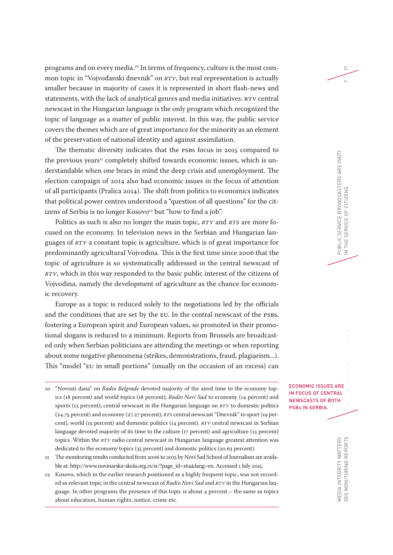programs and on every media. 10 In terms of frequency, culture is the most common topic in "Vojvođanski dnevnik" on *RTV*, but real representation is actually smaller because in majority of cases it is represented in short flash-news and statements, with the lack of analytical genres and media initiatives. RTV central newscast in the Hungarian language is the only program which recognized the topic of language as a matter of public interest. In this way, the public service covers the themes which are of great importance for the minority as an element of the preservation of national identity and against assimilation.

The thematic diversity indicates that the PSBs focus in 2015 compared to the previous years<sup>11</sup> completely shifted towards economic issues, which is understandable when one bears in mind the deep crisis and unemployment. The election campaign of 2014 also had economic issues in the focus of attention of all participants (Pralica 2014). The shift from politics to economics indicates that political power centres understood a "question of all questions" for the citizens of Serbia is no longer Kosovo<sup>12</sup> but "how to find a job".

Politics as such is also no longer the main topic, *RTV* and *RTS* are more focused on the economy. In television news in the Serbian and Hungarian languages of *RTV* a constant topic is agriculture, which is of great importance for predominantly agricultural Vojvodina. This is the first time since 2006 that the topic of agriculture is so systematically addressed in the central newscast of *RTV*, which in this way responded to the basic public interest of the citizens of Vojvodina, namely the development of agriculture as the chance for economic recovery.

Europe as a topic is reduced solely to the negotiations led by the officials and the conditions that are set by the EU. In the central newscast of the PSBs, fostering a European spirit and European values, so promoted in their promotional slogans is reduced to a minimum. Reports from Brussels are broadcasted only when Serbian politicians are attending the meetings or when reporting about some negative phenomena (strikes, demonstrations, fraud, plagiarism...). This "model "EU in small portions" (usually on the occasion of an excess) can

- 10 "Novosti dana" on *Radio Belgrade* devoted majority of the aired time to the economy topics (18 percent) and world topics (18 percent); *Radio Novi Sad* to economy (14 percent) and sports (13 percent); central newscast in the Hungarian language on *RTV* to domestic politics (24.75 percent) and economy (27.27 percent); *RTS* central newscast "Dnevnik" to sport (19 percent), world (15 percent) and domestic politics (14 percent). *RTV* central newscast in Serbian language devoted majority of its time to the culture (17 percent) and agriculture (13 percent) topics. Within the *RTV* radio central newscast in Hungarian language greatest attention was dedicated to the economy topics (35 percent) and domestic politics (20.63 percent).
- 11 The monitoring results conducted from 2006 to 2015 by Novi Sad School of Journalism are available at: http://www.novinarska-skola.org.rs/sr/?page\_id=164&lang=en. Accessed 1 July 2015.
- 12 Kosovo, which in the earlier research positioned as a highly frequent topic, was not recorded as relevant topic in the central newscast of *Radio Novi Sad* and *RTV* in the Hungarian language. In other programs the presence of this topic is about 4 percent – the same as topics about education, human rights, justice, crime etc.

R<br>A<br>H ECONOMIC ISSUES ARE IN FOCUS OF CENTRAL NEWSCASTS OF BOTH PSBs IN SERBIA.

17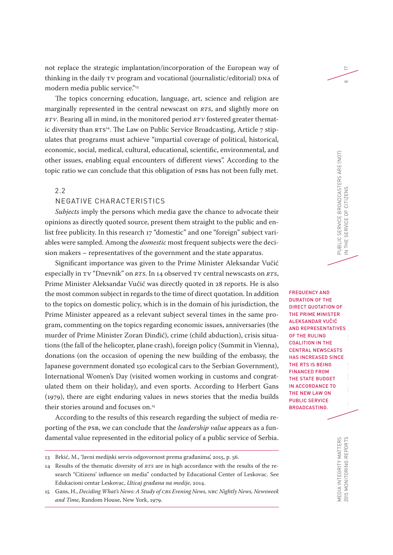not replace the strategic implantation/incorporation of the European way of thinking in the daily TV program and vocational (journalistic/editorial) DNA of modern media public service."13

The topics concerning education, language, art, science and religion are marginally represented in the central newscast on *RTS*, and slightly more on *RTV*. Bearing all in mind, in the monitored period *RTV* fostered greater thematic diversity than RTS14. The Law on Public Service Broadcasting, Article 7 stipulates that programs must achieve "impartial coverage of political, historical, economic, social, medical, cultural, educational, scientific, environmental, and other issues, enabling equal encounters of different views". According to the topic ratio we can conclude that this obligation of PSBs has not been fully met.

2.2

## NEGATIVE CHARACTERISTICS

*Subjects* imply the persons which media gave the chance to advocate their opinions as directly quoted source, present them straight to the public and enlist free publicity. In this research 17 "domestic" and one "foreign" subject variables were sampled. Among the *domestic* most frequent subjects were the decision makers – representatives of the government and the state apparatus.

Significant importance was given to the Prime Minister Aleksandar Vučić especially in TV "Dnevnik" on *RTS*. In 14 observed TV central newscasts on *RTS*, Prime Minister Aleksandar Vučić was directly quoted in 28 reports. He is also the most common subject in regards to the time of direct quotation. In addition to the topics on domestic policy, which is in the domain of his jurisdiction, the Prime Minister appeared as a relevant subject several times in the same program, commenting on the topics regarding economic issues, anniversaries (the murder of Prime Minister Zoran Đinđić), crime (child abduction), crisis situations (the fall of the helicopter, plane crash), foreign policy (Summit in Vienna), donations (on the occasion of opening the new building of the embassy, the Japanese government donated 150 ecological cars to the Serbian Government), International Women's Day (visited women working in customs and congratulated them on their holiday), and even sports. According to Herbert Gans (1979), there are eight enduring values in news stories that the media builds their stories around and focuses on.<sup>15</sup>

According to the results of this research regarding the subject of media reporting of the PSB, we can conclude that the *leadership value* appears as a fundamental value represented in the editorial policy of a public service of Serbia.

17

 $\infty$ 

MONITS<br>The Implementation of the Implementation of the Implementation of the Implementation of the Implementation of S<br>NEW MEDIA LEGISlA FREQUENCY AND DURATION OF THE DIRECT QUOTATION OF THE PRIME MINISTER ALEKSANDAR VUČIĆ AND REPRESENTATIVES OF THE RULING COALITION IN THE CENTRAL NEWSCASTS HAS INCREASED SINCE THE RTS IS BEING FINANCED FROM THE STATE BUDGET IN ACCORDANCE TO THE NEW LAW ON PUBLIC SERVICE BROADCASTING.

<sup>13</sup> Brkić, M., 'Javni medijski servis odgovornost prema građanima', 2015, p. 56.

<sup>14</sup> Results of the thematic diversity of *RTS* are in high accordance with the results of the research "Citizens' influence on media" conducted by Educational Center of Leskovac. See Edukacioni centar Leskovac, *Uticaj građana na medije*, 2014.

<sup>15</sup> Gans, H., *Deciding What's News: A Study of CBS Evening News, NBC Nightly News, Newsweek and Time*, Random House, New York, 1979.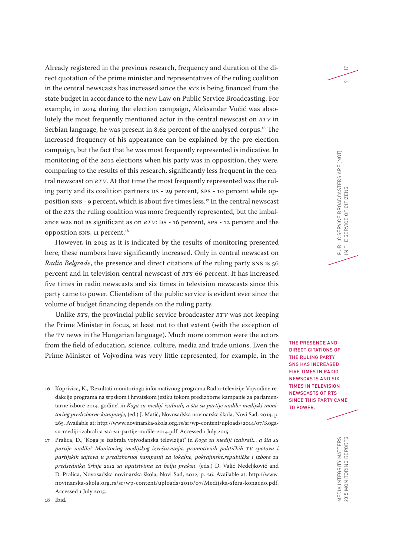Already registered in the previous research, frequency and duration of the direct quotation of the prime minister and representatives of the ruling coalition in the central newscasts has increased since the *RTS* is being financed from the state budget in accordance to the new Law on Public Service Broadcasting. For example, in 2014 during the election campaign, Aleksandar Vučić was absolutely the most frequently mentioned actor in the central newscast on *RTV* in Serbian language, he was present in 8.62 percent of the analysed corpus.<sup>16</sup> The increased frequency of his appearance can be explained by the pre-election campaign, but the fact that he was most frequently represented is indicative. In monitoring of the 2012 elections when his party was in opposition, they were, comparing to the results of this research, significantly less frequent in the central newscast on *RTV*. At that time the most frequently represented was the ruling party and its coalition partners DS - 29 percent, SPS - 10 percent while opposition SNS - 9 percent, which is about five times less.17 In the central newscast of the *RTS* the ruling coalition was more frequently represented, but the imbalance was not as significant as on *RTV*: DS - 16 percent, SPS - 12 percent and the opposition SNS, 11 percent.18

However, in 2015 as it is indicated by the results of monitoring presented here, these numbers have significantly increased. Only in central newscast on *Radio Belgrade*, the presence and direct citations of the ruling party SNS is 56 percent and in television central newscast of *RTS* 66 percent. It has increased five times in radio newscasts and six times in television newscasts since this party came to power. Clientelism of the public service is evident ever since the volume of budget financing depends on the ruling party.

Unlike *RTS*, the provincial public service broadcaster *RTV* was not keeping the Prime Minister in focus, at least not to that extent (with the exception of the TV news in the Hungarian language). Much more common were the actors from the field of education, science, culture, media and trade unions. Even the Prime Minister of Vojvodina was very little represented, for example, in the

17 Pralica, D., 'Koga je izabrala vojvođanska televizija?' in *Koga su mediji izabrali... a šta su partije nudile? Monitoring medijskog izveštavanja, promotivnih političkih TV spotova i partijskih sajtova u predizbornoj kampanji za lokalne, pokrajinske,republičke i izbore za predsednika Srbije 2012 sa uputstvima za bolju praksu*, (eds.) D. Valić Nedeljković and D. Pralica, Novosadska novinarska škola, Novi Sad, 2012, p. 26. Available at: http://www. novinarska-skola.org.rs/sr/wp-content/uploads/2010/07/Medijska-sfera-konacno.pdf. Accessed 1 July 2015.

17

FD IN A NEW MEDIA LEGISlation in Serbia Legislation in Serbia Legislation in Serbia Legislation in Serbia Legislation i THE PRESENCE AND DIRECT CITATIONS OF THE RULING PARTY SNS HAS INCREASED FIVE TIMES IN RADIO NEWSCASTS AND SIX TIMES IN TELEVISION NEWSCASTS OF RTS SINCE THIS PARTY CAME TO POWER.

<sup>16</sup> Koprivica, K., 'Rezultati monitoringa informativnog programa Radio-televizije Vojvodine redakcije programa na srpskom i hrvatskom jeziku tokom predizborne kampanje za parlamentarne izbore 2014. godine', in *Koga su mediji izabrali, a šta su partije nudile: medijski monitoring predizborne kampanje*, (ed.) J. Matić, Novosadska novinarska škola, Novi Sad, 2014, p. 265. Available at: http://www.novinarska-skola.org.rs/sr/wp-content/uploads/2014/07/Kogasu-mediji-izabrali-a-sta-su-partije-nudile-2014.pdf. Accessed 1 July 2015.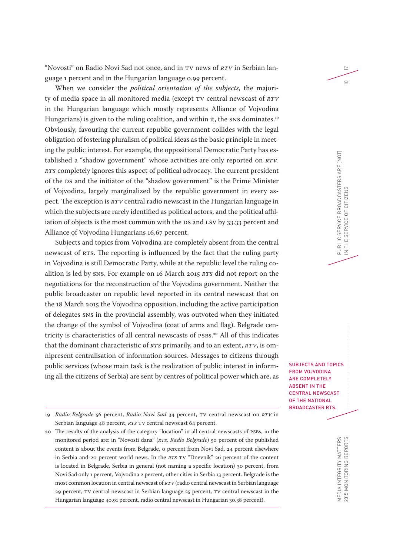"Novosti" on Radio Novi Sad not once, and in TV news of *RTV* in Serbian language 1 percent and in the Hungarian language 0.99 percent.

When we consider the *political orientation of the subjects*, the majority of media space in all monitored media (except TV central newscast of *RTV* in the Hungarian language which mostly represents Alliance of Vojvodina Hungarians) is given to the ruling coalition, and within it, the SNS dominates.<sup>19</sup> Obviously, favouring the current republic government collides with the legal obligation of fostering pluralism of political ideas as the basic principle in meeting the public interest. For example, the oppositional Democratic Party has established a "shadow government" whose activities are only reported on *RTV*. *RTS* completely ignores this aspect of political advocacy. The current president of the DS and the initiator of the "shadow government" is the Prime Minister of Vojvodina, largely marginalized by the republic government in every aspect. The exception is *RTV* central radio newscast in the Hungarian language in which the subjects are rarely identified as political actors, and the political affiliation of objects is the most common with the DS and LSV by 33.33 percent and Alliance of Vojvodina Hungarians 16.67 percent.

Subjects and topics from Vojvodina are completely absent from the central newscast of RTS. The reporting is influenced by the fact that the ruling party in Vojvodina is still Democratic Party, while at the republic level the ruling coalition is led by SNS. For example on 16 March 2015 *RTS* did not report on the negotiations for the reconstruction of the Vojvodina government. Neither the public broadcaster on republic level reported in its central newscast that on the 18 March 2015 the Vojvodina opposition, including the active participation of delegates SNS in the provincial assembly, was outvoted when they initiated the change of the symbol of Vojvodina (coat of arms and flag). Belgrade centricity is characteristics of all central newscasts of PSBs.20 All of this indicates that the dominant characteristic of *RTS* primarily, and to an extent, *RTV*, is omnipresent centralisation of information sources. Messages to citizens through public services (whose main task is the realization of public interest in informing all the citizens of Serbia) are sent by centres of political power which are, as

MONITORING THE IMPLEMENT SUBJECTS AND TOPICS FROM VOJVODINA ARE COMPLETELY ABSENT IN THE CENTRAL NEWSCAST OF THE NATIONAL BROADCASTER RTS.

17

 $\supseteq$ 

<sup>19</sup> *Radio Belgrade* 56 percent, *Radio Novi Sad* 34 percent, TV central newscast on *RTV* in Serbian language 48 percent, *RTS* TV central newscast 64 percent.

<sup>20</sup> The results of the analysis of the category "location" in all central newscasts of PSBs, in the monitored period are: in "Novosti dana" (*RTS, Radio Belgrade*) 50 percent of the published content is about the events from Belgrade, 0 percent from Novi Sad, 24 percent elsewhere in Serbia and 20 percent world news. In the *RTS* TV "Dnevnik" 26 percent of the content is located in Belgrade, Serbia in general (not naming a specific location) 30 percent, from Novi Sad only 1 percent, Vojvodina 2 percent, other cities in Serbia 13 percent. Belgrade is the most common location in central newscast of *RTV* (radio central newscast in Serbian language 29 percent, TV central newscast in Serbian language 25 percent, TV central newscast in the Hungarian language 40.91 percent, radio central newscast in Hungarian 30.38 percent).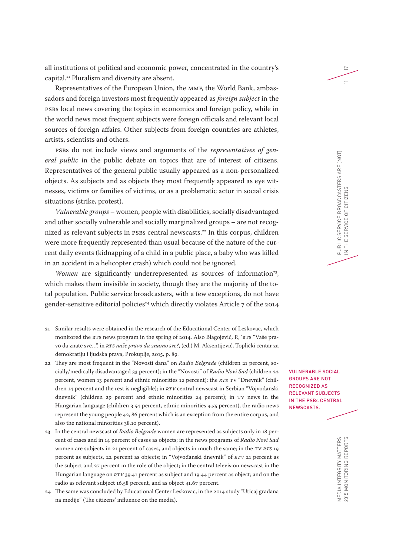all institutions of political and economic power, concentrated in the country's capital.21 Pluralism and diversity are absent.

Representatives of the European Union, the MMF, the World Bank, ambassadors and foreign investors most frequently appeared as *foreign subject* in the PSBs local news covering the topics in economics and foreign policy, while in the world news most frequent subjects were foreign officials and relevant local sources of foreign affairs. Other subjects from foreign countries are athletes, artists, scientists and others.

PSBs do not include views and arguments of the *representatives of general public* in the public debate on topics that are of interest of citizens. Representatives of the general public usually appeared as a non-personalized objects. As subjects and as objects they most frequently appeared as eye witnesses, victims or families of victims, or as a problematic actor in social crisis situations (strike, protest).

*Vulnerable groups* – women, people with disabilities, socially disadvantaged and other socially vulnerable and socially marginalized groups – are not recognized as relevant subjects in PSBs central newscasts.22 In this corpus, children were more frequently represented than usual because of the nature of the current daily events (kidnapping of a child in a public place, a baby who was killed in an accident in a helicopter crash) which could not be ignored.

*Women* are significantly underrepresented as sources of information<sup>23</sup>, which makes them invisible in society, though they are the majority of the total population. Public service broadcasters, with a few exceptions, do not have gender-sensitive editorial policies<sup>24</sup> which directly violates Article 7 of the 2014

- 21 Similar results were obtained in the research of the Educational Center of Leskovac, which monitored the RTS news program in the spring of 2014. Also Blagojević, P., 'RTS "Vaše pravo da znate sve…", in *RTS naše pravo da znamo sve?*, (ed.) M. Aksentijević, Toplički centar za demokratiju i ljudska prava, Prokuplje, 2015, p. 89.
- 22 They are most frequent in the "Novosti dana" on *Radio Belgrade* (children 21 percent, socially/medically disadvantaged 33 percent); in the "Novosti" of *Radio Novi Sad* (children 22 percent, women 13 percent and ethnic minorities 12 percent); the *RTS* TV "Dnevnik" (children 14 percent and the rest is negligible); in *RTV* central newscast in Serbian "Vojvođanski dnevnik" (children 29 percent and ethnic minorities 24 percent); in TV news in the Hungarian language (children 3.54 percent, ethnic minorities 4.55 percent), the radio news represent the young people 42, 86 percent which is an exception from the entire corpus, and also the national minorities 38.10 percent).
- 23 In the central newscast of *Radio Belgrade* women are represented as subjects only in 18 percent of cases and in 14 percent of cases as objects; in the news programs of *Radio Novi Sad* women are subjects in 21 percent of cases, and objects in much the same; in the TV *RTS* 19 percent as subjects, 22 percent as objects; in "Vojvođanski dnevnik" of *RTV* 21 percent as the subject and 27 percent in the role of the object; in the central television newscast in the Hungarian language on *RTV* 39.41 percent as subject and 19.44 percent as object; and on the radio as relevant subject 16.58 percent, and as object 41.67 percent.
- 24 The same was concluded by Educational Center Leskovac, in the 2014 study "Uticaj građana na medije" (The citizens' influence on the media).

L<br>S<br>Al VULNERABLE SOCIAL GROUPS ARE NOT RECOGNIZED AS RELEVANT SUBJECTS IN THE PSBs CENTRAL NEWSCASTS.

17

 $\overline{\phantom{0}}$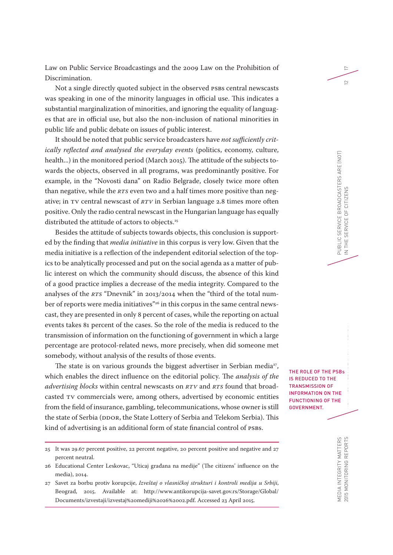Law on Public Service Broadcastings and the 2009 Law on the Prohibition of Discrimination.

Not a single directly quoted subject in the observed PSBs central newscasts was speaking in one of the minority languages in official use. This indicates a substantial marginalization of minorities, and ignoring the equality of languages that are in official use, but also the non-inclusion of national minorities in public life and public debate on issues of public interest.

It should be noted that public service broadcasters have *not sufficiently critically reflected and analysed the everyday events* (politics, economy, culture, health...) in the monitored period (March 2015). The attitude of the subjects towards the objects, observed in all programs, was predominantly positive. For example, in the "Novosti dana" on Radio Belgrade, closely twice more often than negative, while the *RTS* even two and a half times more positive than negative; in TV central newscast of *RTV* in Serbian language 2.8 times more often positive. Only the radio central newscast in the Hungarian language has equally distributed the attitude of actors to objects.<sup>25</sup>

Besides the attitude of subjects towards objects, this conclusion is supported by the finding that *media initiative* in this corpus is very low. Given that the media initiative is a reflection of the independent editorial selection of the topics to be analytically processed and put on the social agenda as a matter of public interest on which the community should discuss, the absence of this kind of a good practice implies a decrease of the media integrity. Compared to the analyses of the *RTS* "Dnevnik" in 2013/2014 when the "third of the total number of reports were media initiatives"<sup>26</sup> in this corpus in the same central newscast, they are presented in only 8 percent of cases, while the reporting on actual events takes 81 percent of the cases. So the role of the media is reduced to the transmission of information on the functioning of government in which a large percentage are protocol-related news, more precisely, when did someone met somebody, without analysis of the results of those events.

The state is on various grounds the biggest advertiser in Serbian media<sup>27</sup>, which enables the direct influence on the editorial policy. The *analysis of the advertising blocks* within central newscasts on *RTV* and *RTS* found that broadcasted TV commercials were, among others, advertised by economic entities from the field of insurance, gambling, telecommunications, whose owner is still the state of Serbia (DDOR, the State Lottery of Serbia and Telekom Serbia). This kind of advertising is an additional form of state financial control of PSBs.

MONITORING THE IMPLEMENTATION CONTINUES.<br>The IMPLEMENTATION OF IMPLEMENTATION CONTINUES.<br>The IMPLEMENTATION OF IMPLEMENTATION CONTINUES. NEW MEDIA LEGISLATION IN SERBIA THE ROLE OF THE PSBs IS REDUCED TO THE TRANSMISSION OF INFORMATION ON THE FUNCTIONING OF THE GOVERNMENT.

17

 $\subseteq$ 

<sup>25</sup> It was 29.67 percent positive, 22 percent negative, 20 percent positive and negative and 27 percent neutral.

<sup>26</sup> Educational Center Leskovac, "Uticaj građana na medije" (The citizens' influence on the media), 2014.

<sup>27</sup> Savet za borbu protiv korupcije, *Izveštaj o vlasničkoj strukturi i kontroli medija u Srbiji*, Beograd, 2015. Available at: http://www.antikorupcija-savet.gov.rs/Storage/Global/ Documents/izvestaji/izvestaj%20mediji%2026%2002.pdf. Accessed 23 April 2015.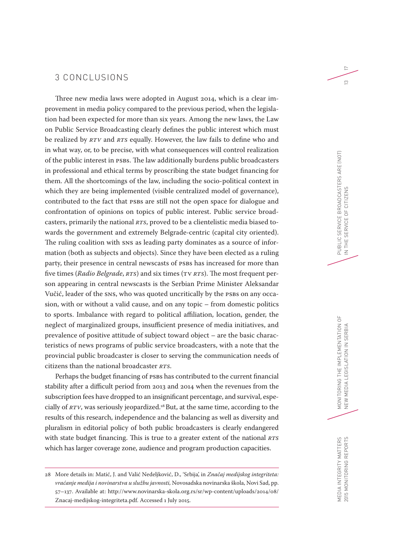## 3 CONCLUSIONS

Three new media laws were adopted in August 2014, which is a clear improvement in media policy compared to the previous period, when the legislation had been expected for more than six years. Among the new laws, the Law on Public Service Broadcasting clearly defines the public interest which must be realized by *RTV* and *RTS* equally. However, the law fails to define who and in what way, or, to be precise, with what consequences will control realization of the public interest in PSBs. The law additionally burdens public broadcasters in professional and ethical terms by proscribing the state budget financing for them. All the shortcomings of the law, including the socio-political context in which they are being implemented (visible centralized model of governance), contributed to the fact that PSBs are still not the open space for dialogue and confrontation of opinions on topics of public interest. Public service broadcasters, primarily the national *RTS*, proved to be a clientelistic media biased towards the government and extremely Belgrade-centric (capital city oriented). The ruling coalition with SNS as leading party dominates as a source of information (both as subjects and objects). Since they have been elected as a ruling party, their presence in central newscasts of PSBs has increased for more than five times (*Radio Belgrade*, *RTS*) and six times (TV *RTS*). The most frequent person appearing in central newscasts is the Serbian Prime Minister Aleksandar Vučić, leader of the SNS, who was quoted uncritically by the PSBs on any occasion, with or without a valid cause, and on any topic – from domestic politics to sports. Imbalance with regard to political affiliation, location, gender, the neglect of marginalized groups, insufficient presence of media initiatives, and prevalence of positive attitude of subject toward object – are the basic characteristics of news programs of public service broadcasters, with a note that the provincial public broadcaster is closer to serving the communication needs of citizens than the national broadcaster *RTS*.

Perhaps the budget financing of PSBs has contributed to the current financial stability after a difficult period from 2013 and 2014 when the revenues from the subscription fees have dropped to an insignificant percentage, and survival, especially of *RTV*, was seriously jeopardized.<sup>28</sup> But, at the same time, according to the results of this research, independence and the balancing as well as diversity and pluralism in editorial policy of both public broadcasters is clearly endangered with state budget financing. This is true to a greater extent of the national *RTS* which has larger coverage zone, audience and program production capacities.

 $\overline{C}$ 

 $\tilde{c}$ 

<sup>28</sup> More details in: Matić, J. and Valić Nedeljković, D., 'Srbija', in *Značaj medijskog integriteta: vraćanje medija i novinarstva u službu javnosti,* Novosadska novinarska škola, Novi Sad, pp. 57–137. Available at: http://www.novinarska-skola.org.rs/sr/wp-content/uploads/2014/08/ Znacaj-medijskog-integriteta.pdf. Accessed 1 July 2015.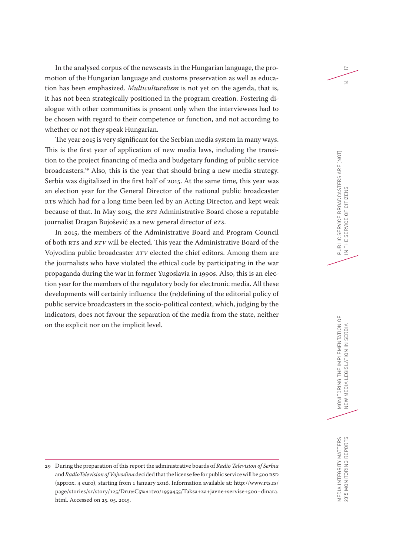In the analysed corpus of the newscasts in the Hungarian language, the promotion of the Hungarian language and customs preservation as well as education has been emphasized. *Multiculturalism* is not yet on the agenda, that is, it has not been strategically positioned in the program creation. Fostering dialogue with other communities is present only when the interviewees had to be chosen with regard to their competence or function, and not according to whether or not they speak Hungarian.

The year 2015 is very significant for the Serbian media system in many ways. This is the first year of application of new media laws, including the transition to the project financing of media and budgetary funding of public service broadcasters.29 Also, this is the year that should bring a new media strategy. Serbia was digitalized in the first half of 2015. At the same time, this year was an election year for the General Director of the national public broadcaster RTS which had for a long time been led by an Acting Director, and kept weak because of that. In May 2015, the *RTS* Administrative Board chose a reputable journalist Dragan Bujošević as a new general director of *RTS*.

In 2015, the members of the Administrative Board and Program Council of both RTS and *RTV* will be elected. This year the Administrative Board of the Vojvodina public broadcaster *RTV* elected the chief editors. Among them are the journalists who have violated the ethical code by participating in the war propaganda during the war in former Yugoslavia in 1990s. Also, this is an election year for the members of the regulatory body for electronic media. All these developments will certainly influence the (re)defining of the editorial policy of public service broadcasters in the socio-political context, which, judging by the indicators, does not favour the separation of the media from the state, neither on the explicit nor on the implicit level.

17

 $\overline{1}$ 

MEDIA INTEGRITY MATTERS 2015 MONITORING REPORTS

MEDIA INTEGRITY MATTERS<br>2015 MONITORING REPORTS

<sup>29</sup> During the preparation of this report the administrative boards of *Radio Television of Serbia* and *RadioTelevision of Vojvodina* decided that the license fee for public service will be 500 RSD (approx. 4 euro), starting from 1 January 2016. Information available at: http://www.rts.rs/ page/stories/sr/story/125/Dru%C5%A1tvo/1959455/Taksa+za+javne+servise+500+dinara. html. Accessed on 25. 05. 2015.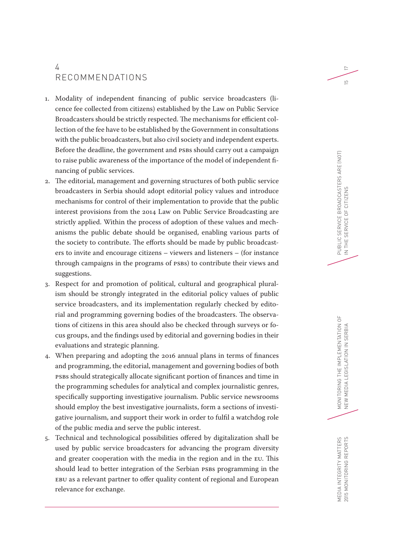# 4 RECOMMENDATIONS

- 1. Modality of independent financing of public service broadcasters (licence fee collected from citizens) established by the Law on Public Service Broadcasters should be strictly respected. The mechanisms for efficient collection of the fee have to be established by the Government in consultations with the public broadcasters, but also civil society and independent experts. Before the deadline, the government and PSBs should carry out a campaign to raise public awareness of the importance of the model of independent financing of public services.
- 2. The editorial, management and governing structures of both public service broadcasters in Serbia should adopt editorial policy values and introduce mechanisms for control of their implementation to provide that the public interest provisions from the 2014 Law on Public Service Broadcasting are strictly applied. Within the process of adoption of these values and mechanisms the public debate should be organised, enabling various parts of the society to contribute. The efforts should be made by public broadcasters to invite and encourage citizens – viewers and listeners – (for instance through campaigns in the programs of PSBs) to contribute their views and suggestions.
- 3. Respect for and promotion of political, cultural and geographical pluralism should be strongly integrated in the editorial policy values of public service broadcasters, and its implementation regularly checked by editorial and programming governing bodies of the broadcasters. The observations of citizens in this area should also be checked through surveys or focus groups, and the findings used by editorial and governing bodies in their evaluations and strategic planning.
- 4. When preparing and adopting the 2016 annual plans in terms of finances and programming, the editorial, management and governing bodies of both PSBs should strategically allocate significant portion of finances and time in the programming schedules for analytical and complex journalistic genres, specifically supporting investigative journalism. Public service newsrooms should employ the best investigative journalists, form a sections of investigative journalism, and support their work in order to fulfil a watchdog role of the public media and serve the public interest.
- 5. Technical and technological possibilities offered by digitalization shall be used by public service broadcasters for advancing the program diversity and greater cooperation with the media in the region and in the EU. This should lead to better integration of the Serbian PSBs programming in the EBU as a relevant partner to offer quality content of regional and European relevance for exchange.

17

 $\overline{5}$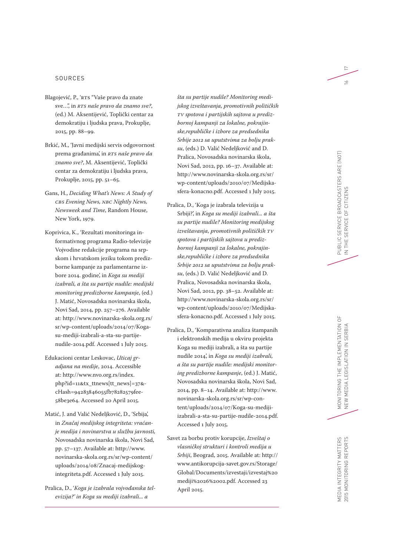#### SOURCES

- Blagojević, P., 'RTS "Vaše pravo da znate sve…", in *RTS naše pravo da znamo sve?*, (ed.) M. Aksentijević, Toplički centar za demokratiju i ljudska prava, Prokuplje, 2015, pp. 88–99.
- Brkić, M., 'Javni medijski servis odgovornost prema građanima', in *RTS naše pravo da znamo sve?*, M. Aksentijević, Toplički centar za demokratiju i ljudska prava, Prokuplje, 2015, pp. 51–65.
- Gans, H., *Deciding What's News: A Study of CBS Evening News, NBC Nightly News, Newsweek and Time* , Random House, New York, 1979.
- Koprivica, K., 'Rezultati monitoringa in formativnog programa Radio-televizije Vojvodine redakcije programa na srp skom i hrvatskom jeziku tokom prediz borne kampanje za parlamentarne iz bore 2014. godine', in *Koga su mediji izabrali, a šta su partije nudile: medijski monitoring predizborne kampanje*, (ed.) J. Matić, Novosadska novinarska škola, Novi Sad, 2014, pp. 257–276. Available at: http://www.novinarska-skola.org.rs/ sr/wp-content/uploads/2014/07/Kogasu-mediji-izabrali-a-sta-su-partijenudile-2014.pdf. Accessed 1 July 2015.
- Edukacioni centar Leskovac, *Uticaj gr adjana na medije*, 2014. Accessible at: http://www.nvo.org.rs/index. php?id=11 &tx\_ttnews[tt\_news]=37 & cHash=94283846055fb78282579fee - 58be3e64. Accessed 20 April 2015.
- Matić, J. and Valić Nedeljković, D., 'Srbija', in *Značaj medijskog integriteta: vraćan je medija i novinarstva u službu javnosti,*  Novosadska novinarska škola, Novi Sad, pp. 57–137. Available at: http://www. novinarska-skola.org.rs/sr/wp-content/ uploads/2014/08/Znacaj-medijskogintegriteta.pdf. Accessed 1 July 2015.
- Pralica, D., '*Koga je izabrala vojvođanska tel evizija?' in Koga su mediji izabrali... a*

*šta su partije nudile? Monitoring medi jskog izveštavanja, promotivnih političkih TV spotova i partijskih sajtova u prediz bornoj kampanji za lokalne, pokrajin ske,republičke i izbore za predsednika Srbije 2012 sa uputstvima za bolju praksu*, (eds.) D. Valić Nedeljković and D. Pralica, Novosadska novinarska škola, Novi Sad, 2012, pp. 16–37. Available at: http://www.novinarska-skola.org.rs/sr/ wp-content/uploads/2010/07/Medijskasfera-konacno.pdf. Accessed 1 July 2015.

- Pralica, D., 'Koga je izabrala televizija u Srbiji?', in *Koga su mediji izabrali... a šta su partije nudile? Monitoring medijskog izveštavanja, promotivnih političkih TV spotova i partijskih sajtova u prediz bornoj kampanji za lokalne, pokrajin ske,republičke i izbore za predsednika Srbije 2012 sa uputstvima za bolju praksu*, (eds.) D. Valić Nedeljković and D. Pralica, Novosadska novinarska škola, Novi Sad, 2012, pp. 38–52. Available at: http://www.novinarska-skola.org.rs/sr/ wp-content/uploads/2010/07/Medijskasfera-konacno.pdf. Accessed 1 July 2015.
- Pralica, D., 'Komparativna analiza štampanih i elektronskih medija u okviru projekta Koga su mediji izabrali, a šta su partije nudile 2014', in *Koga su mediji izabrali, a šta su partije nudile: medijski monitor ing predizborne kampanje*, (ed.) J. Matić, Novosadska novinarska škola, Novi Sad, 2014, pp. 8–14. Available at: http://www. novinarska-skola.org.rs/sr/wp-con tent/uploads/2014/07/Koga-su-medijiizabrali-a-sta-su-partije-nudile-2014.pdf. Accessed 1 July 2015.
- Savet za borbu protiv korupcije, *Izveštaj o vlasničkoj strukturi i kontroli medija u Srbiji*, Beograd, 2015. Available at: http:// www.antikorupcija-savet.gov.rs/Storage/ Global/Documents/izvestaji/izvestaj%20 mediji%2026%2002.pdf. Accessed 23 April 2015.

MEDIA INTEGRITY MATTERS<br>2015 MONITORING REPORTS MEDIA INTEGRITY MATTERS 2015 MONITORING REPORTS

 $\overline{C}$  $\geq$